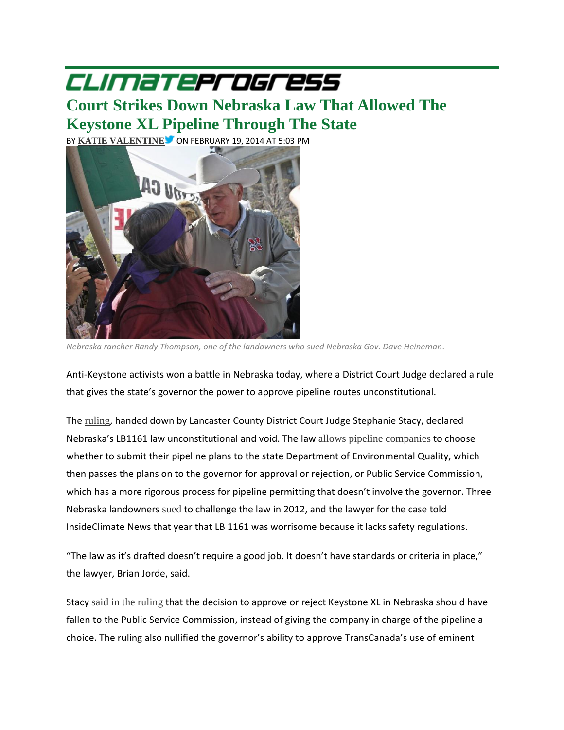## CLIMaTeProgress

## **Court Strikes Down [Nebraska](http://thinkprogress.org/climate/2014/02/19/3309791/nebraska-keystone-pipeline-ruling/) Law That Allowed The [Keystone](http://thinkprogress.org/climate/2014/02/19/3309791/nebraska-keystone-pipeline-ruling/) XL Pipeline Through The State**

BY **KATIE [VALENTINE](http://thinkprogress.org/person/kvalentine/)** ON FEBRUARY 19, 2014 AT 5:03 PM



*Nebraska rancher Randy Thompson, one of the landowners who sued Nebraska Gov. Dave Heineman.*

Anti-Keystone activists won a battle in Nebraska today, where a District Court Judge declared a rule that gives the state's governor the power to approve pipeline routes unconstitutional.

The [ruling](http://www.dominalaw.com/documents/LB-1161-Court-Order-Feb-19-2014.pdf), handed down by Lancaster County District Court Judge Stephanie Stacy, declared Nebraska's LB1161 law unconstitutional and void. The law allows pipeline [companies](http://insideclimatenews.org/news/20120926/nebraska-keystone-xl-lawsuit-landowners-eminent-domain-heineman) to choose whether to submit their pipeline plans to the state Department of Environmental Quality, which then passes the plans on to the governor for approval or rejection, or Public Service Commission, which has a more rigorous process for pipeline permitting that doesn't involve the governor. Three Nebraska landowners [sued](http://www.documentcloud.org/documents/435966-nebraska-lb-1161-lawsuit-sep-2012.html) to challenge the law in 2012, and the lawyer for the case told InsideClimate News that year that LB 1161 was worrisome because it lacks safety regulations.

"The law as it's drafted doesn't require a good job. It doesn't have standards or criteria in place," the lawyer, Brian Jorde, said.

Stacy said in the [ruling](http://bigstory.ap.org/article/nebraska-law-allowed-keystone-xl-struck-down) that the decision to approve or reject Keystone XL in Nebraska should have fallen to the Public Service Commission, instead of giving the company in charge of the pipeline a choice. The ruling also nullified the governor's ability to approve TransCanada's use of eminent